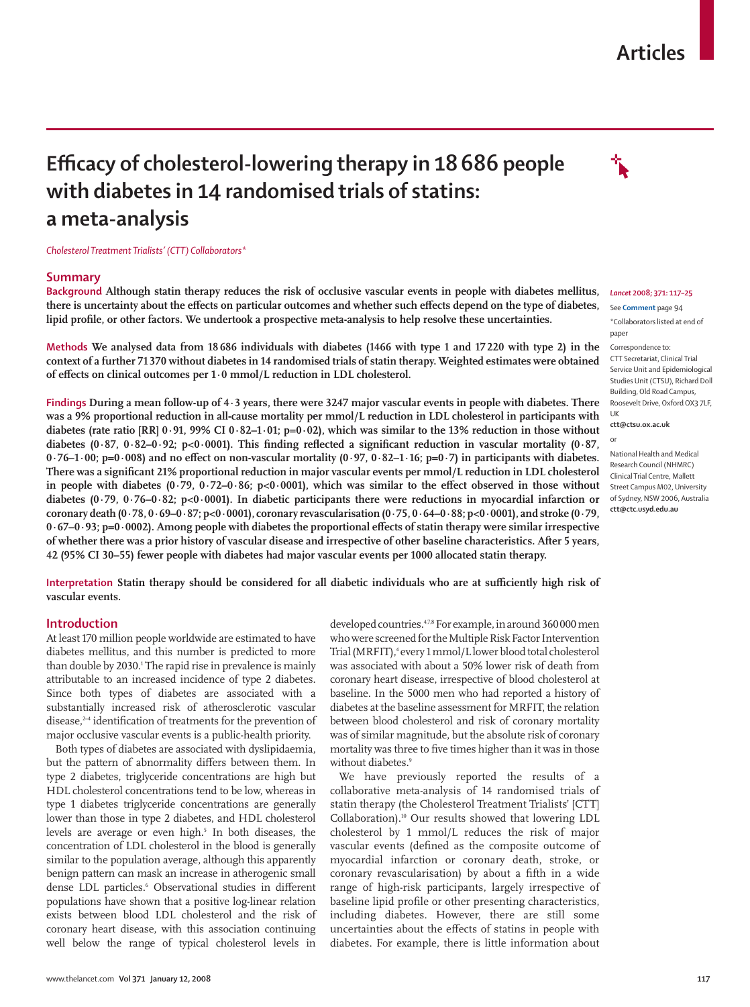# **Articles**

# Efficacy of cholesterol-lowering therapy in 18686 people **with diabetes in 14 randomised trials of statins: a meta-analysis**

*Cholesterol Treatment Trialists' (CTT) Collaborators\**

#### **Summary**

**Background Although statin therapy reduces the risk of occlusive vascular events in people with diabetes mellitus,**  *Lancet* **2008; 371: 117–25** there is uncertainty about the effects on particular outcomes and whether such effects depend on the type of diabetes, lipid profile, or other factors. We undertook a prospective meta-analysis to help resolve these uncertainties.

**Methods We analysed data from 18 686 individuals with diabetes (1466 with type 1 and 17 220 with type 2) in the context of a further 71 370 without diabetes in 14 randomised trials of statin therapy. Weighted estimates were obtained**  of effects on clinical outcomes per 1 $\cdot$  0 mmol/L reduction in LDL cholesterol.

**Findings During a mean follow-up of 4·3 years, there were 3247 major vascular events in people with diabetes. There was a 9% proportional reduction in all-cause mortality per mmol/L reduction in LDL cholesterol in participants with**  diabetes (rate ratio [RR] 0·91, 99% CI 0·82-1·01; p=0·02), which was similar to the 13% reduction in those without diabetes ( $0.87$ ,  $0.82-0.92$ ;  $p<0.0001$ ). This finding reflected a significant reduction in vascular mortality ( $0.87$ ,  $0.76-1.00$ ;  $p=0.008$ ) and no effect on non-vascular mortality  $(0.97, 0.82-1.16; p=0.7)$  in participants with diabetes. There was a significant 21% proportional reduction in major vascular events per mmol/L reduction in LDL cholesterol in people with diabetes  $(0.79, 0.72-0.86; p<0.0001)$ , which was similar to the effect observed in those without **diabetes (0·79, 0·76–0·82; p<0·0001). In diabetic participants there were reductions in myocardial infarction or coronary death (0·78, 0·69–0·87; p<0·0001), coronary revascularisation (0·75, 0·64–0·88; p<0·0001), and stroke (0·79,**  0·67–0·93; p=0·0002). Among people with diabetes the proportional effects of statin therapy were similar irrespective **of whether there was a prior history of vascular disease and irrespective of other baseline characteristics. After 5 years, 42 (95% CI 30–55) fewer people with diabetes had major vascular events per 1000 allocated statin therapy.** 

Interpretation Statin therapy should be considered for all diabetic individuals who are at sufficiently high risk of **vascular events.** 

#### **Introduction**

At least 170 million people worldwide are estimated to have diabetes mellitus, and this number is predicted to more than double by 2030.<sup>1</sup> The rapid rise in prevalence is mainly attributable to an increased incidence of type 2 diabetes. Since both types of diabetes are associated with a substantially increased risk of atherosclerotic vascular disease,<sup>2-4</sup> identification of treatments for the prevention of major occlusive vascular events is a public-health priority.

Both types of diabetes are associated with dyslipidaemia, but the pattern of abnormality differs between them. In type 2 diabetes, triglyceride concentrations are high but HDL cholesterol concentrations tend to be low, whereas in type 1 diabetes triglyceride concentrations are generally lower than those in type 2 diabetes, and HDL cholesterol levels are average or even high.<sup>5</sup> In both diseases, the concentration of LDL cholesterol in the blood is generally similar to the population average, although this apparently benign pattern can mask an increase in atherogenic small dense LDL particles.<sup>6</sup> Observational studies in different populations have shown that a positive log-linear relation exists between blood LDL cholesterol and the risk of coronary heart disease, with this association continuing well below the range of typical cholesterol levels in

developed countries.4,7,8 For example, in around 360 000 men who were screened for the Multiple Risk Factor Intervention Trial (MRFIT),<sup>4</sup> every 1 mmol/L lower blood total cholesterol was associated with about a 50% lower risk of death from coronary heart disease, irrespective of blood cholesterol at baseline. In the 5000 men who had reported a history of diabetes at the baseline assessment for MRFIT, the relation between blood cholesterol and risk of coronary mortality was of similar magnitude, but the absolute risk of coronary mortality was three to five times higher than it was in those without diabetes.<sup>9</sup>

We have previously reported the results of a collaborative meta-analysis of 14 randomised trials of statin therapy (the Cholesterol Treatment Trialists' [CTT] Collaboration).10 Our results showed that lowering LDL cholesterol by 1 mmol/L reduces the risk of major vascular events (defined as the composite outcome of myocardial infarction or coronary death, stroke, or coronary revascularisation) by about a fifth in a wide range of high-risk participants, largely irrespective of baseline lipid profile or other presenting characteristics, including diabetes. However, there are still some uncertainties about the effects of statins in people with diabetes. For example, there is little information about



See **Comment** page 94

\*Collaborators listed at end of paper

Correspondence to:

CTT Secretariat, Clinical Trial Service Unit and Epidemiological Studies Unit (CTSU), Richard Doll Building, Old Road Campus, Roosevelt Drive, Oxford OX3 7LF, UK

**ctt@ctsu.ox.ac.uk** 

or

National Health and Medical Research Council (NHMRC) Clinical Trial Centre, Mallett Street Campus M02, University of Sydney, NSW 2006, Australia **ctt@ctc.usyd.edu.au**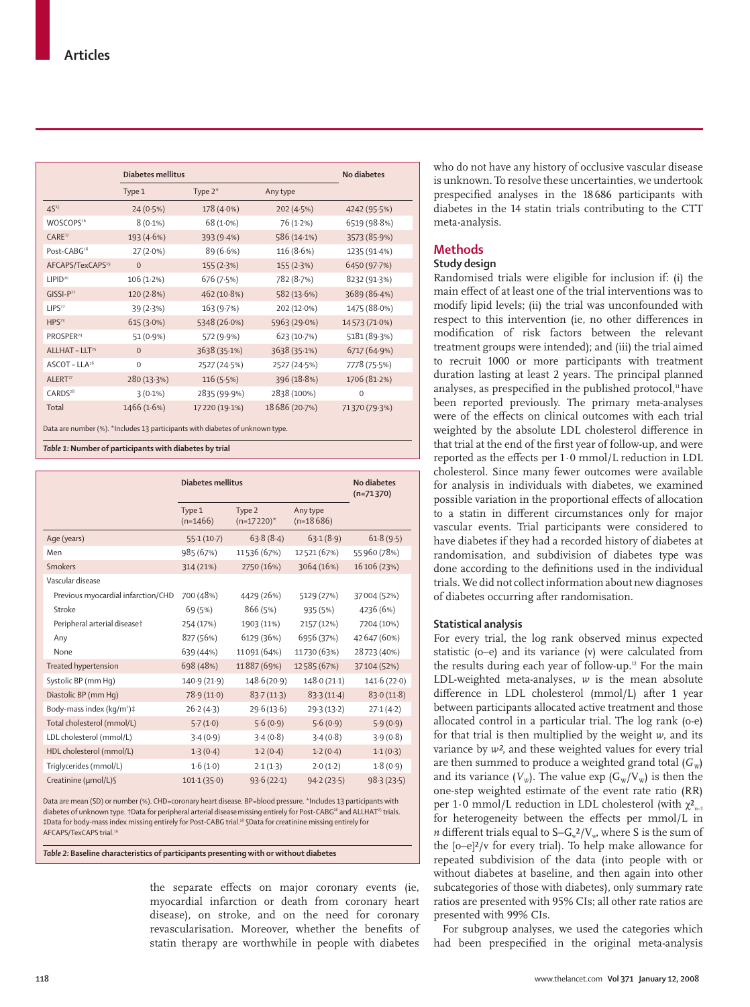|                              | Diabetes mellitus |               |               | No diabetes   |
|------------------------------|-------------------|---------------|---------------|---------------|
|                              | Type 1            | Type $2^*$    | Any type      |               |
| $45^{15}$                    | 24(0.5%)          | $178(4.0\%)$  | 202 (4.5%)    | 4242 (95.5%)  |
| WOSCOPS <sup>16</sup>        | $8(0.1\%)$        | 68 (1.0%)     | 76 (1.2%)     | 6519 (98.8%)  |
| CARE <sup>17</sup>           | 193 (4.6%)        | 393 (9.4%)    | 586 (14.1%)   | 3573 (85.9%)  |
| Post-CABG <sup>18</sup>      | $27(2.0\%)$       | 89 (6.6%)     | 116 (8.6%)    | 1235 (91.4%)  |
| AFCAPS/TexCAPS <sup>19</sup> | $\mathbf{0}$      | 155(2.3%)     | 155 (2.3%)    | 6450 (97.7%)  |
| LIPID <sup>20</sup>          | 106(1.2%)         | 676 (7.5%)    | 782 (8.7%)    | 8232 (91.3%)  |
| $GISSI-P21$                  | 120(2.8%)         | 462 (10.8%)   | 582 (13.6%)   | 3689 (86.4%)  |
| LIPS <sup>22</sup>           | 39 (2.3%)         | 163 (9.7%)    | 202 (12.0%)   | 1475 (88.0%)  |
| HPS <sup>23</sup>            | 615 (3.0%)        | 5348 (26.0%)  | 5963 (29.0%)  | 14573 (71.0%) |
| PROSPER <sup>24</sup>        | 51 (0.9%)         | 572 (9.9%)    | 623 (10.7%)   | 5181 (89.3%)  |
| ALLHAT - LLT <sup>25</sup>   | $\mathbf{0}$      | 3638 (35.1%)  | 3638 (35.1%)  | 6717 (64.9%)  |
| $ASCOT-LLA26$                | $\mathbf 0$       | 2527 (24.5%)  | 2527 (24.5%)  | 7778 (75.5%)  |
| ALERT <sup>27</sup>          | 280 (13.3%)       | 116 (5.5%)    | 396 (18.8%)   | 1706 (81.2%)  |
| CARDS <sup>28</sup>          | $3(0.1\%)$        | 2835 (99.9%)  | 2838 (100%)   | $\mathbf 0$   |
| Total                        | 1466 (1.6%)       | 17220 (19-1%) | 18686 (20.7%) | 71370 (79.3%) |

Data are number (%). \*Includes 13 participants with diabetes of unknown type.

*Table 1:* **Number of participants with diabetes by trial**

| <b>Diabetes mellitus</b>              |                      |                           |                         | No diabetes<br>$(n=71370)$ |  |
|---------------------------------------|----------------------|---------------------------|-------------------------|----------------------------|--|
|                                       | Type 1<br>$(n=1466)$ | Type 2<br>$(n=17220)^{*}$ | Any type<br>$(n=18686)$ |                            |  |
| Age (years)                           | 55.1(10.7)           | 63.8(8.4)                 | 63.1(8.9)               | 61.8(9.5)                  |  |
| Men                                   | 985 (67%)            | 11536 (67%)               | 12 521 (67%)            | 55960 (78%)                |  |
| Smokers                               | 314 (21%)            | 2750 (16%)                | 3064 (16%)              | 16106 (23%)                |  |
| Vascular disease                      |                      |                           |                         |                            |  |
| Previous myocardial infarction/CHD    | 700 (48%)            | 4429 (26%)                | 5129 (27%)              | 37004 (52%)                |  |
| Stroke                                | 69 (5%)              | 866 (5%)                  | 935 (5%)                | 4236 (6%)                  |  |
| Peripheral arterial diseaset          | 254 (17%)            | 1903 (11%)                | 2157 (12%)              | 7204 (10%)                 |  |
| Any                                   | 827 (56%)            | 6129 (36%)                | 6956 (37%)              | 42 647 (60%)               |  |
| None                                  | 639 (44%)            | 11091 (64%)               | 11730 (63%)             | 28723 (40%)                |  |
| Treated hypertension                  | 698 (48%)            | 11887 (69%)               | 12 585 (67%)            | 37104 (52%)                |  |
| Systolic BP (mm Hq)                   | 140.9(21.9)          | 148.6(20.9)               | 148.0(21.1)             | 141.6(22.0)                |  |
| Diastolic BP (mm Hq)                  | 78.9 (11.0)          | 83.7(11.3)                | 83.3(11.4)              | 83.0(11.8)                 |  |
| Body-mass index (kg/m <sup>2</sup> )‡ | 26.2(4.3)            | 29.6(13.6)                | 29.3(13.2)              | 27.1(4.2)                  |  |
| Total cholesterol (mmol/L)            | 5.7(1.0)             | 5.6(0.9)                  | 5.6(0.9)                | 5.9(0.9)                   |  |
| LDL cholesterol (mmol/L)              | 3.4(0.9)             | 3.4(0.8)                  | 3.4(0.8)                | 3.9(0.8)                   |  |
| HDL cholesterol (mmol/L)              | 1.3(0.4)             | 1.2(0.4)                  | 1.2(0.4)                | 1.1(0.3)                   |  |
| Triglycerides (mmol/L)                | 1.6(1.0)             | 2.1(1.3)                  | 2.0(1.2)                | 1.8(0.9)                   |  |
| Creatinine (µmol/L)§                  | 101.1(35.0)          | 93.6(22.1)                | 94.2(23.5)              | 98.3(23.5)                 |  |

Data are mean (SD) or number (%). CHD=coronary heart disease. BP=blood pressure. \*Includes 13 participants with diabetes of unknown type. †Data for peripheral arterial disease missing entirely for Post-CABG<sup>18</sup> and ALLHAT<sup>25</sup> trials. ‡Data for body-mass index missing entirely for Post-CABG trial.18 §Data for creatinine missing entirely for AFCAPS/TexCAPS trial.<sup>19</sup>

*Table 2:* **Baseline characteristics of participants presenting with or without diabetes**

the separate effects on major coronary events (ie, myocardial infarction or death from coronary heart disease), on stroke, and on the need for coronary revascularisation. Moreover, whether the benefits of statin therapy are worthwhile in people with diabetes who do not have any history of occlusive vascular disease is unknown. To resolve these uncertainties, we undertook prespecified analyses in the 18 686 participants with diabetes in the 14 statin trials contributing to the CTT meta-analysis.

## **Methods**

### **Study design**

Randomised trials were eligible for inclusion if: (i) the main effect of at least one of the trial interventions was to modify lipid levels; (ii) the trial was unconfounded with respect to this intervention (ie, no other differences in modification of risk factors between the relevant treatment groups were intended); and (iii) the trial aimed to recruit 1000 or more participants with treatment duration lasting at least 2 years. The principal planned analyses, as prespecified in the published protocol, $"$  have been reported previously. The primary meta-analyses were of the effects on clinical outcomes with each trial weighted by the absolute LDL cholesterol difference in that trial at the end of the first year of follow-up, and were reported as the effects per 1.0 mmol/L reduction in LDL cholesterol. Since many fewer outcomes were available for analysis in individuals with diabetes, we examined possible variation in the proportional effects of allocation to a statin in different circumstances only for major vascular events. Trial participants were considered to have diabetes if they had a recorded history of diabetes at randomisation, and subdivision of diabetes type was done according to the definitions used in the individual trials. We did not collect information about new diagnoses of diabetes occurring after randomisation.

#### **Statistical analysis**

For every trial, the log rank observed minus expected statistic (o–e) and its variance (v) were calculated from the results during each year of follow-up.<sup>12</sup> For the main LDL-weighted meta-analyses, *w* is the mean absolute difference in LDL cholesterol (mmol/L) after 1 year between participants allocated active treatment and those allocated control in a particular trial. The log rank (o-e) for that trial is then multiplied by the weight *w*, and its variance by *w²*, and these weighted values for every trial are then summed to produce a weighted grand total  $(G_w)$ and its variance  $(V_w)$ . The value exp  $(G_w/V_w)$  is then the one-step weighted estimate of the event rate ratio (RR) per 1·0 mmol/L reduction in LDL cholesterol (with  $\chi^2_{n-1}$ ) for heterogeneity between the effects per  $mmol/L$  in *n* different trials equal to  $S - G<sub>w</sub>^2/V<sub>w</sub>$ , where S is the sum of the [o–e]²/v for every trial). To help make allowance for repeated subdivision of the data (into people with or without diabetes at baseline, and then again into other subcategories of those with diabetes), only summary rate ratios are presented with 95% CIs; all other rate ratios are presented with 99% CIs.

For subgroup analyses, we used the categories which had been prespecified in the original meta-analysis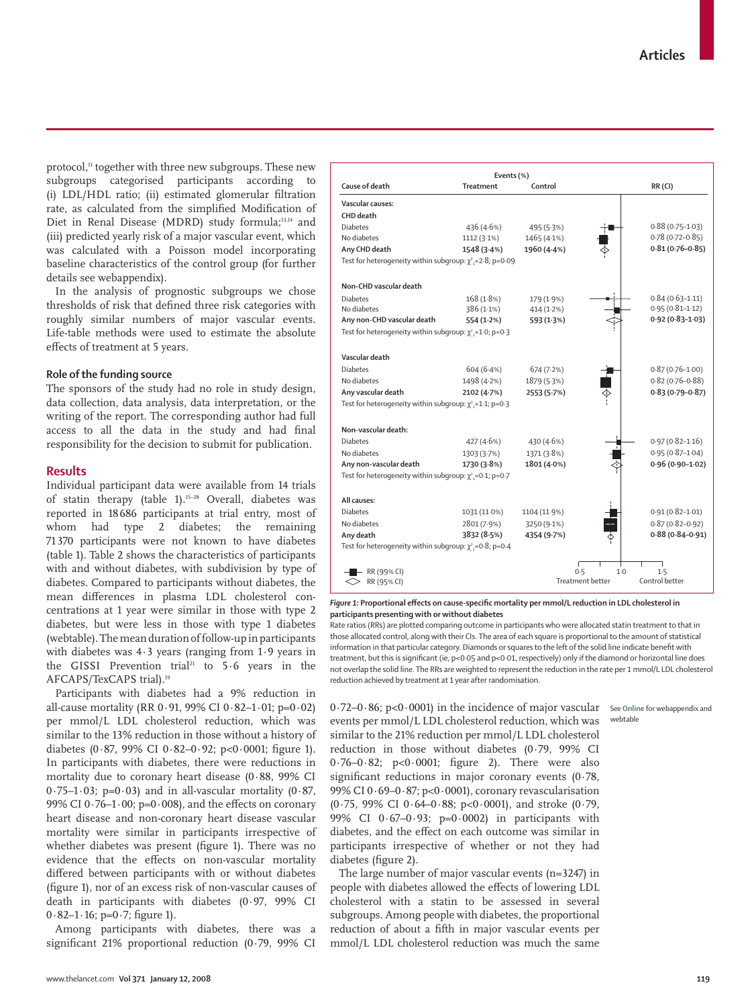protocol,<sup>11</sup> together with three new subgroups. These new subgroups categorised participants according to (i) LDL/HDL ratio; (ii) estimated glomerular filtration rate, as calculated from the simplified Modification of Diet in Renal Disease (MDRD) study formula;<sup>13,14</sup> and (iii) predicted yearly risk of a major vascular event, which was calculated with a Poisson model incorporating baseline characteristics of the control group (for further details see webappendix).

In the analysis of prognostic subgroups we chose thresholds of risk that defined three risk categories with roughly similar numbers of major vascular events. Life-table methods were used to estimate the absolute effects of treatment at 5 years.

#### **Role of the funding source**

The sponsors of the study had no role in study design, data collection, data analysis, data interpretation, or the writing of the report. The corresponding author had full access to all the data in the study and had final responsibility for the decision to submit for publication.

#### **Results**

Individual participant data were available from 14 trials of statin therapy (table 1).<sup>15-28</sup> Overall, diabetes was reported in 18 686 participants at trial entry, most of whom had type 2 diabetes; the remaining 71 370 participants were not known to have diabetes (table 1). Table 2 shows the characteristics of participants with and without diabetes, with subdivision by type of diabetes. Compared to participants without diabetes, the mean differences in plasma LDL cholesterol concentrations at 1 year were similar in those with type 2 diabetes, but were less in those with type 1 diabetes (webtable). The mean duration of follow-up in participants with diabetes was 4·3 years (ranging from 1·9 years in the GISSI Prevention trial<sup>21</sup> to  $5.6$  years in the AFCAPS/TexCAPS trial).19

Participants with diabetes had a 9% reduction in all-cause mortality (RR 0·91, 99% CI 0·82–1·01; p=0·02) per mmol/L LDL cholesterol reduction, which was similar to the 13% reduction in those without a history of diabetes (0.87, 99% CI 0.82–0.92; p<0.0001; figure 1). In participants with diabetes, there were reductions in mortality due to coronary heart disease (0·88, 99% CI  $0.75-1.03$ ; p= $0.03$ ) and in all-vascular mortality (0.87, 99% CI  $0.76-1.00$ ; p= $0.008$ ), and the effects on coronary heart disease and non-coronary heart disease vascular mortality were similar in participants irrespective of whether diabetes was present (figure 1). There was no evidence that the effects on non-vascular mortality differed between participants with or without diabetes (figure 1), nor of an excess risk of non-vascular causes of death in participants with diabetes (0·97, 99% CI  $0.82 - 1.16$ ; p= $0.7$ ; figure 1).

Among participants with diabetes, there was a significant  $21\%$  proportional reduction (0.79, 99% CI

| Events (%)                                                                |                  |               |                         |                     |  |
|---------------------------------------------------------------------------|------------------|---------------|-------------------------|---------------------|--|
| Cause of death                                                            | <b>Treatment</b> | Control       |                         | RR (CI)             |  |
| Vascular causes:                                                          |                  |               |                         |                     |  |
| CHD death                                                                 |                  |               |                         |                     |  |
| <b>Diabetes</b>                                                           | 436 (4.6%)       | 495 (5.3%)    |                         | $0.88(0.75 - 1.03)$ |  |
| No diabetes                                                               | 1112(3.1%)       | 1465 (4.1%)   |                         | $0.78(0.72 - 0.85)$ |  |
| Any CHD death                                                             | 1548 (3.4%)      | 1960 (4.4%)   |                         | $0.81(0.76 - 0.85)$ |  |
| Test for heterogeneity within subgroup: $\chi^2$ ,=2.8; p=0.09            |                  |               |                         |                     |  |
| Non-CHD vascular death                                                    |                  |               |                         |                     |  |
| <b>Diabetes</b>                                                           | 168(1.8%)        | 179 (1.9%)    |                         | $0.84(0.63 - 1.11)$ |  |
| No diabetes                                                               | 386 (1.1%)       | 414 (1.2%)    |                         | $0.95(0.81 - 1.12)$ |  |
| Any non-CHD vascular death                                                | 554 (1.2%)       | 593 (1.3%)    |                         | $0.92(0.83 - 1.03)$ |  |
| Test for heterogeneity within subgroup: $\chi^2$ ,=1.0; p=0.3             |                  |               |                         |                     |  |
| Vascular death                                                            |                  |               |                         |                     |  |
| <b>Diabetes</b>                                                           | 604(6.4%)        | 674(7.2%)     |                         | $0.87(0.76 - 1.00)$ |  |
| No diabetes                                                               | 1498 (4.2%)      | 1879 (5.3%)   |                         | $0.82(0.76 - 0.88)$ |  |
| Any vascular death                                                        | 2102 (4.7%)      | 2553 (5.7%)   |                         | $0.83(0.79 - 0.87)$ |  |
| Test for heterogeneity within subgroup: $\chi^2$ <sub>,</sub> =1.1; p=0.3 |                  |               |                         |                     |  |
| Non-vascular death:                                                       |                  |               |                         |                     |  |
| <b>Diabetes</b>                                                           | 427(4.6%)        | 430 (4.6%)    |                         | $0.97(0.82 - 1.16)$ |  |
| No diabetes                                                               | 1303 (3.7%)      | 1371 (3.8%)   |                         | $0.95(0.87 - 1.04)$ |  |
| Any non-vascular death                                                    | 1730 (3.8%)      | $1801(4.0\%)$ |                         | $0.96(0.90 - 1.02)$ |  |
| Test for heterogeneity within subgroup: $\chi^2$ ,=0.1; p=0.7             |                  |               |                         |                     |  |
| All causes:                                                               |                  |               |                         |                     |  |
| <b>Diabetes</b>                                                           | 1031 (11.0%)     | 1104 (11.9%)  |                         | $0.91(0.82 - 1.01)$ |  |
| No diabetes                                                               | 2801 (7.9%)      | 3250 (9.1%)   |                         | $0.87(0.82 - 0.92)$ |  |
| Any death                                                                 | 3832 (8.5%)      | 4354 (9.7%)   |                         | $0.88(0.84 - 0.91)$ |  |
| Test for heterogeneity within subgroup: $\chi^2$ ,=0.8; p=0.4             |                  |               |                         |                     |  |
| RR (99% CI)                                                               |                  |               | 0.5<br>$1-0$            | 1.5                 |  |
| RR (95% CI)                                                               |                  |               | <b>Treatment better</b> | Control better      |  |
|                                                                           |                  |               |                         |                     |  |

Figure 1: Proportional effects on cause-specific mortality per mmol/L reduction in LDL cholesterol in **participants presenting with or without diabetes**

Rate ratios (RRs) are plotted comparing outcome in participants who were allocated statin treatment to that in those allocated control, along with their CIs. The area of each square is proportional to the amount of statistical information in that particular category. Diamonds or squares to the left of the solid line indicate benefi t with treatment, but this is significant (ie, p<0.05 and p<0.01, respectively) only if the diamond or horizontal line does not overlap the solid line. The RRs are weighted to represent the reduction in the rate per 1 mmol/L LDL cholesterol reduction achieved by treatment at 1 year after randomisation.

0·72–0·86; p<0·0001) in the incidence of major vascular See **Online** for webappendix and events per mmol/L LDL cholesterol reduction, which was similar to the 21% reduction per mmol/L LDL cholesterol reduction in those without diabetes (0·79, 99% CI  $0.76 - 0.82$ ;  $p < 0.0001$ ; figure 2). There were also significant reductions in major coronary events  $(0.78, 1.00)$ 99% CI 0·69–0·87; p<0·0001), coronary revascularisation (0·75, 99% CI 0·64–0·88; p<0·0001), and stroke (0·79, 99% CI 0·67–0·93; p=0·0002) in participants with diabetes, and the effect on each outcome was similar in participants irrespective of whether or not they had diabetes (figure 2).

The large number of major vascular events (n=3247) in people with diabetes allowed the effects of lowering LDL cholesterol with a statin to be assessed in several subgroups. Among people with diabetes, the proportional reduction of about a fifth in major vascular events per mmol/L LDL cholesterol reduction was much the same

webtable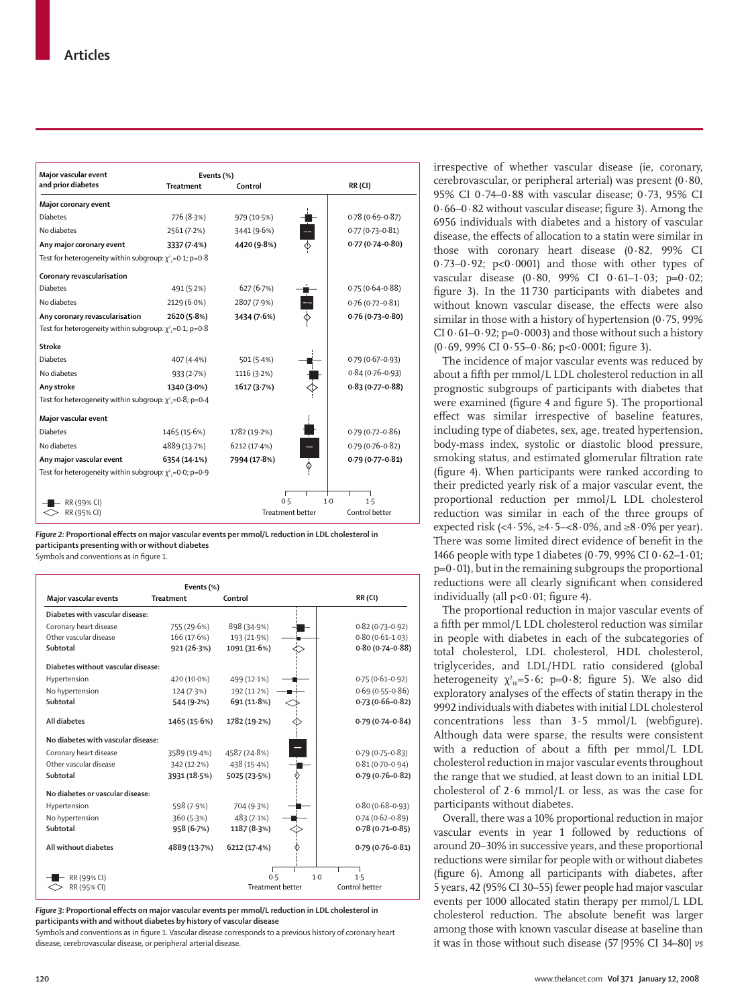| Major vascular event                                            | Events (%)       |                         |       |                     |  |  |
|-----------------------------------------------------------------|------------------|-------------------------|-------|---------------------|--|--|
| and prior diabetes                                              | <b>Treatment</b> | Control                 |       | RR(CI)              |  |  |
| Major coronary event                                            |                  |                         |       |                     |  |  |
| <b>Diabetes</b>                                                 | 776 (8.3%)       | 979 (10.5%)             |       | $0.78(0.69 - 0.87)$ |  |  |
| No diabetes                                                     | 2561 (7.2%)      | 3441 (9.6%)             |       | $0.77(0.73 - 0.81)$ |  |  |
| Any major coronary event                                        | 3337 (7.4%)      | 4420 (9.8%)             |       | $0.77(0.74 - 0.80)$ |  |  |
| Test for heterogeneity within subgroup: $\gamma^2$ ,=0.1; p=0.8 |                  |                         |       |                     |  |  |
| Coronary revascularisation                                      |                  |                         |       |                     |  |  |
| <b>Diabetes</b>                                                 | 491 (5.2%)       | 627 (6.7%)              |       | $0.75(0.64 - 0.88)$ |  |  |
| No diabetes                                                     | 2129 (6.0%)      | 2807 (7.9%)             |       | $0.76(0.72 - 0.81)$ |  |  |
| Any coronary revascularisation                                  | 2620 (5.8%)      | 3434 (7.6%)             |       | $0.76(0.73 - 0.80)$ |  |  |
| Test for heterogeneity within subgroup: $\chi^2$ ,=0.1; p=0.8   |                  |                         |       |                     |  |  |
| Stroke                                                          |                  |                         |       |                     |  |  |
| <b>Diabetes</b>                                                 | 407(4.4%)        | 501(5.4%)               |       | $0.79(0.67 - 0.93)$ |  |  |
| No diabetes                                                     | 933 (2.7%)       | 1116 (3.2%)             |       | $0.84(0.76 - 0.93)$ |  |  |
| Any stroke                                                      | 1340 (3.0%)      | 1617 (3.7%)             |       | $0.83(0.77 - 0.88)$ |  |  |
| Test for heterogeneity within subgroup: $\chi^2$ ,=0.8; p=0.4   |                  |                         |       |                     |  |  |
| Major vascular event                                            |                  |                         |       |                     |  |  |
| <b>Diabetes</b>                                                 | 1465 (15.6%)     | 1782 (19-2%)            |       | $0.79(0.72 - 0.86)$ |  |  |
| No diabetes                                                     | 4889 (13.7%)     | 6212 (17.4%)            |       | $0.79(0.76 - 0.82)$ |  |  |
| Any major vascular event                                        | 6354 (14-1%)     | 7994 (17-8%)            |       | $0.79(0.77 - 0.81)$ |  |  |
| Test for heterogeneity within subgroup: $\chi^2$ ,=0.0; p=0.9   |                  |                         |       |                     |  |  |
|                                                                 |                  |                         |       |                     |  |  |
| RR (99% CI)                                                     |                  | 0.5                     | $1-0$ | 1.5                 |  |  |
| RR (95% CI)                                                     |                  | <b>Treatment better</b> |       | Control better      |  |  |

*Figure 2:* Proportional effects on major vascular events per mmol/L reduction in LDL cholesterol in **participants presenting with or without diabetes**

Symbols and conventions as in figure 1.

| Major vascular events              | <b>Treatment</b> | Control                 | RR (CI)             |
|------------------------------------|------------------|-------------------------|---------------------|
| Diabetes with vascular disease:    |                  |                         |                     |
| Coronary heart disease             | 755 (29.6%)      | 898 (34.9%)             | $0.82(0.73 - 0.92)$ |
| Other vascular disease             | 166 (17.6%)      | 193 (21.9%)             | $0.80(0.61 - 1.03)$ |
| Subtotal                           | 921(26.3%)       | 1091 (31.6%)            | $0.80(0.74 - 0.88)$ |
| Diabetes without vascular disease: |                  |                         |                     |
| Hypertension                       | 420 (10.0%)      | 499 (12.1%)             | $0.75(0.61 - 0.92)$ |
| No hypertension                    | 124(7.3%)        | 192 (11.2%)             | $0.69(0.55 - 0.86)$ |
| Subtotal                           | 544 (9.2%)       | 691 (11.8%)             | $0.73(0.66 - 0.82)$ |
| All diabetes                       | 1465 (15.6%)     | 1782 (19.2%)            | $0.79(0.74 - 0.84)$ |
| No diabetes with vascular disease: |                  |                         |                     |
| Coronary heart disease             | 3589 (19.4%)     | 4587 (24.8%)            | $0.79(0.75 - 0.83)$ |
| Other vascular disease             | 342 (12.2%)      | 438 (15.4%)             | $0.81(0.70 - 0.94)$ |
| Subtotal                           | 3931 (18.5%)     | 5025 (23.5%)            | $0.79(0.76 - 0.82)$ |
| No diabetes or vascular disease:   |                  |                         |                     |
| Hypertension                       | 598 (7.9%)       | 704 (9.3%)              | $0.80(0.68 - 0.93)$ |
| No hypertension                    | 360(5.3%)        | 483 (7.1%)              | $0.74(0.62 - 0.89)$ |
| Subtotal                           | 958 (6.7%)       | 1187 (8.3%)             | $0.78(0.71 - 0.85)$ |
| All without diabetes               | 4889 (13.7%)     | 6212 (17.4%)            | $0.79(0.76 - 0.81)$ |
|                                    |                  |                         |                     |
| RR (99% CI)                        |                  | 0.5                     | $1-0$<br>1.5        |
| RR (95% CI)                        |                  | <b>Treatment better</b> | Control better      |

Figure 3: Proportional effects on major vascular events per mmol/L reduction in LDL cholesterol in **participants with and without diabetes by history of vascular disease**

Symbols and conventions as in figure 1. Vascular disease corresponds to a previous history of coronary heart disease, cerebrovascular disease, or peripheral arterial disease.

irrespective of whether vascular disease (ie, coronary, cerebrovascular, or peripheral arterial) was present (0·80, 95% CI 0·74–0·88 with vascular disease; 0·73, 95% CI  $0.66-0.82$  without vascular disease; figure 3). Among the 6956 individuals with diabetes and a history of vascular disease, the effects of allocation to a statin were similar in those with coronary heart disease (0·82, 99% CI  $0.73-0.92$ ;  $p<0.0001$  and those with other types of vascular disease (0·80, 99% CI 0·61–1·03; p=0·02; figure 3). In the 11730 participants with diabetes and without known vascular disease, the effects were also similar in those with a history of hypertension (0·75, 99% CI 0 $\cdot$  61–0 $\cdot$ 92; p=0 $\cdot$ 0003) and those without such a history  $(0.69, 99\% \text{ CI } 0.55 - 0.86; \text{ p} < 0.0001; \text{ figure 3}).$ 

The incidence of major vascular events was reduced by about a fifth per mmol/L LDL cholesterol reduction in all prognostic subgroups of participants with diabetes that were examined (figure 4 and figure 5). The proportional effect was similar irrespective of baseline features, including type of diabetes, sex, age, treated hypertension, body-mass index, systolic or diastolic blood pressure, smoking status, and estimated glomerular filtration rate (figure 4). When participants were ranked according to their predicted yearly risk of a major vascular event, the proportional reduction per mmol/L LDL cholesterol reduction was similar in each of the three groups of expected risk (<4 $\cdot$  5%,  $\geq$ 4 $\cdot$  5 $\lt$ 8 $\cdot$ 0%, and  $\geq$ 8 $\cdot$ 0% per year). There was some limited direct evidence of benefit in the 1466 people with type 1 diabetes (0·79, 99% CI 0·62–1·01;  $p=0.01$ ), but in the remaining subgroups the proportional reductions were all clearly significant when considered individually (all  $p<0.01$ ; figure 4).

The proportional reduction in major vascular events of a fifth per mmol/L LDL cholesterol reduction was similar in people with diabetes in each of the subcategories of total cholesterol, LDL cholesterol, HDL cholesterol, triglycerides, and LDL/HDL ratio considered (global heterogeneity  $\chi^2_{10}=5.6$ ; p=0.8; figure 5). We also did exploratory analyses of the effects of statin therapy in the 9992 individuals with diabetes with initial LDL cholesterol concentrations less than  $3.5 \text{ mmol/L}$  (webfigure). Although data were sparse, the results were consistent with a reduction of about a fifth per mmol/L LDL cholesterol reduction in major vascular events throughout the range that we studied, at least down to an initial LDL cholesterol of 2·6 mmol/L or less, as was the case for participants without diabetes.

Overall, there was a 10% proportional reduction in major vascular events in year 1 followed by reductions of around 20–30% in successive years, and these proportional reductions were similar for people with or without diabetes (figure 6). Among all participants with diabetes, after 5 years, 42 (95% CI 30–55) fewer people had major vascular events per 1000 allocated statin therapy per mmol/L LDL cholesterol reduction. The absolute benefit was larger among those with known vascular disease at baseline than it was in those without such disease (57 [95% CI 34–80] *vs*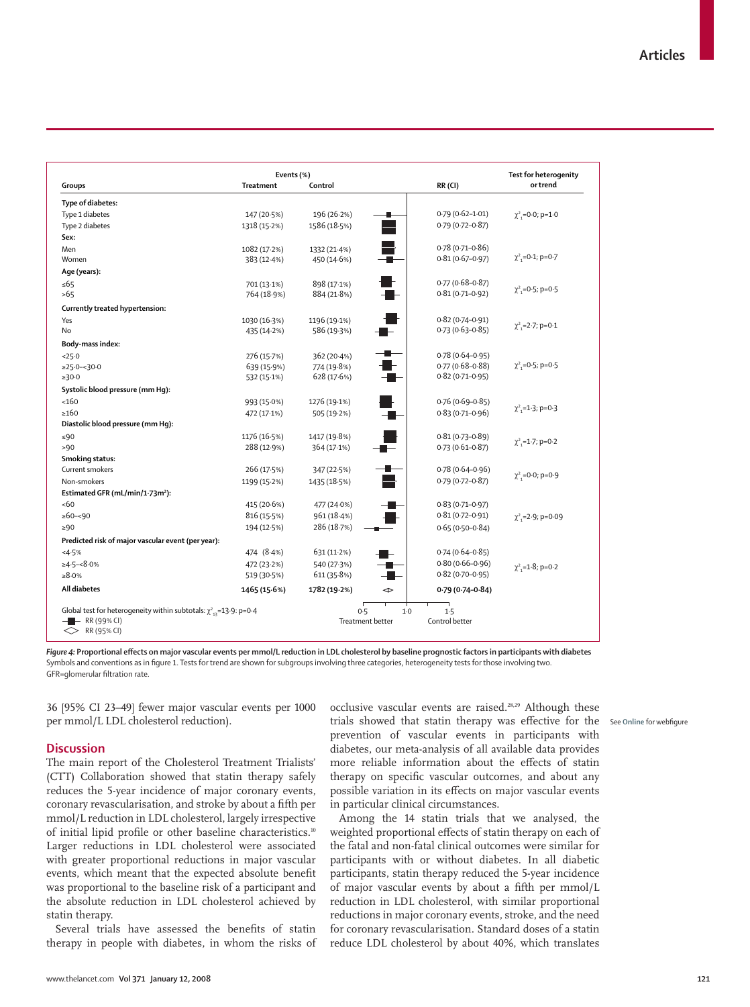|                                                                                                                       | Events (%)       |              |                                         |                       | <b>Test for heterogenity</b>      |
|-----------------------------------------------------------------------------------------------------------------------|------------------|--------------|-----------------------------------------|-----------------------|-----------------------------------|
| Groups                                                                                                                | <b>Treatment</b> | Control      |                                         | RR(CI)                | or trend                          |
| Type of diabetes:                                                                                                     |                  |              |                                         |                       |                                   |
| Type 1 diabetes                                                                                                       | 147 (20.5%)      | 196 (26.2%)  |                                         | $0.79(0.62 - 1.01)$   | $\chi^2$ ,=0.0; p=1.0             |
| Type 2 diabetes                                                                                                       | 1318 (15.2%)     | 1586 (18.5%) |                                         | $0.79(0.72 - 0.87)$   |                                   |
| Sex:                                                                                                                  |                  |              |                                         |                       |                                   |
| Men                                                                                                                   | 1082 (17.2%)     | 1332 (21.4%) |                                         | $0.78(0.71 - 0.86)$   |                                   |
| Women                                                                                                                 | 383 (12.4%)      | 450 (14.6%)  |                                         | $0.81(0.67 - 0.97)$   | $\chi^2$ ,=0.1; p=0.7             |
| Age (years):                                                                                                          |                  |              |                                         |                       |                                   |
| $\leq 65$                                                                                                             | 701 (13.1%)      | 898 (17.1%)  |                                         | $0.77(0.68 - 0.87)$   |                                   |
| >65                                                                                                                   | 764 (18.9%)      | 884 (21.8%)  |                                         | $0.81(0.71 - 0.92)$   | $\chi^2$ <sub>1</sub> =0.5; p=0.5 |
| Currently treated hypertension:                                                                                       |                  |              |                                         |                       |                                   |
| Yes                                                                                                                   | 1030 (16.3%)     | 1196 (19.1%) |                                         | $0.82(0.74 - 0.91)$   |                                   |
| No                                                                                                                    | 435 (14.2%)      | 586 (19.3%)  |                                         | $0.73(0.63 - 0.85)$   | $\chi^2$ <sub>1</sub> =2.7; p=0.1 |
| Body-mass index:                                                                                                      |                  |              |                                         |                       |                                   |
| 25.0                                                                                                                  | 276 (15.7%)      | 362 (20.4%)  |                                         | $0.78(0.64 - 0.95)$   |                                   |
| $\geq 25.0 - 30.0$                                                                                                    | 639 (15.9%)      | 774 (19.8%)  |                                         | $0.77(0.68 - 0.88)$   | $\chi^2$ <sub>1</sub> =0.5; p=0.5 |
| $\geq 30.0$                                                                                                           | 532 (15.1%)      | 628 (17.6%)  |                                         | $0.82(0.71 - 0.95)$   |                                   |
| Systolic blood pressure (mm Hg):                                                                                      |                  |              |                                         |                       |                                   |
| < 160                                                                                                                 | 993 (15.0%)      | 1276 (19.1%) |                                         | $0.76(0.69 - 0.85)$   |                                   |
| $\geq 160$                                                                                                            | 472 (17.1%)      | 505 (19.2%)  |                                         | $0.83(0.71 - 0.96)$   | $\chi^2$ <sub>1</sub> =1.3; p=0.3 |
| Diastolic blood pressure (mm Hq):                                                                                     |                  |              |                                         |                       |                                   |
| ≤90                                                                                                                   | 1176 (16.5%)     | 1417 (19.8%) |                                         | $0.81(0.73 - 0.89)$   | $\chi^2$ ,=1.7; p=0.2             |
| >90                                                                                                                   | 288 (12.9%)      | 364 (17.1%)  |                                         | $0.73(0.61 - 0.87)$   |                                   |
| <b>Smoking status:</b>                                                                                                |                  |              |                                         |                       |                                   |
| Current smokers                                                                                                       | 266 (17.5%)      | 347 (22.5%)  |                                         | $0.78(0.64 - 0.96)$   | $\chi^2$ ,=0.0; p=0.9             |
| Non-smokers                                                                                                           | 1199 (15.2%)     | 1435 (18.5%) |                                         | $0.79(0.72 - 0.87)$   |                                   |
| Estimated GFR (mL/min/1-73m <sup>2</sup> ):                                                                           |                  |              |                                         |                       |                                   |
| <60                                                                                                                   | 415 (20.6%)      | 477 (24.0%)  |                                         | $0.83(0.71 - 0.97)$   |                                   |
| $\geq 60 - 90$                                                                                                        | 816 (15.5%)      | 961 (18.4%)  |                                         | $0.81(0.72 - 0.91)$   | $\chi^2$ ,=2.9; p=0.09            |
| $\geq 90$                                                                                                             | 194 (12.5%)      | 286 (18.7%)  |                                         | $0.65(0.50-0.84)$     |                                   |
| Predicted risk of major vascular event (per year):                                                                    |                  |              |                                         |                       |                                   |
| <4.5%                                                                                                                 | 474 (8.4%)       | 631 (11.2%)  |                                         | $0.74(0.64 - 0.85)$   |                                   |
| $\geq 4.5 - 8.0\%$                                                                                                    | 472 (23.2%)      | 540 (27.3%)  |                                         | $0.80(0.66 - 0.96)$   | $\chi^2$ ,=1.8; p=0.2             |
| $>8.0\%$                                                                                                              | 519 (30.5%)      | 611 (35.8%)  |                                         | $0.82(0.70 - 0.95)$   |                                   |
| All diabetes                                                                                                          | 1465 (15.6%)     | 1782 (19-2%) | $\triangle$                             | $0.79(0.74 - 0.84)$   |                                   |
| Global test for heterogeneity within subtotals: $\chi^2_{13}$ =13.9: p=0.4<br>$-$ RR (99% CI)<br>RR (95% CI)<br>$\ <$ |                  |              | 0.5<br>$1-0$<br><b>Treatment better</b> | 1.5<br>Control better |                                   |

Figure 4: Proportional effects on major vascular events per mmol/L reduction in LDL cholesterol by baseline prognostic factors in participants with diabetes Symbols and conventions as in figure 1. Tests for trend are shown for subgroups involving three categories, heterogeneity tests for those involving two. GFR=glomerular filtration rate.

36 [95% CI 23-49] fewer major vascular events per 1000 per mmol/L LDL cholesterol reduction).

#### **Discussion**

The main report of the Cholesterol Treatment Trialists' (CTT) Collaboration showed that statin therapy safely reduces the 5-year incidence of major coronary events, coronary revascularisation, and stroke by about a fifth per mmol/L reduction in LDL cholesterol, largely irrespective of initial lipid profile or other baseline characteristics.<sup>10</sup> Larger reductions in LDL cholesterol were associated with greater proportional reductions in major vascular events, which meant that the expected absolute benefit was proportional to the baseline risk of a participant and the absolute reduction in LDL cholesterol achieved by statin therapy.

Several trials have assessed the benefits of statin therapy in people with diabetes, in whom the risks of occlusive vascular events are raised.<sup>28,29</sup> Although these trials showed that statin therapy was effective for the prevention of vascular events in participants with diabetes, our meta-analysis of all available data provides more reliable information about the effects of statin therapy on specific vascular outcomes, and about any possible variation in its effects on major vascular events in particular clinical circumstances.

Among the 14 statin trials that we analysed, the weighted proportional effects of statin therapy on each of the fatal and non-fatal clinical outcomes were similar for participants with or without diabetes. In all diabetic participants, statin therapy reduced the 5-year incidence of major vascular events by about a fifth per mmol/L reduction in LDL cholesterol, with similar proportional reductions in major coronary events, stroke, and the need for coronary revascularisation. Standard doses of a statin reduce LDL cholesterol by about 40%, which translates

#### See Online for webfigure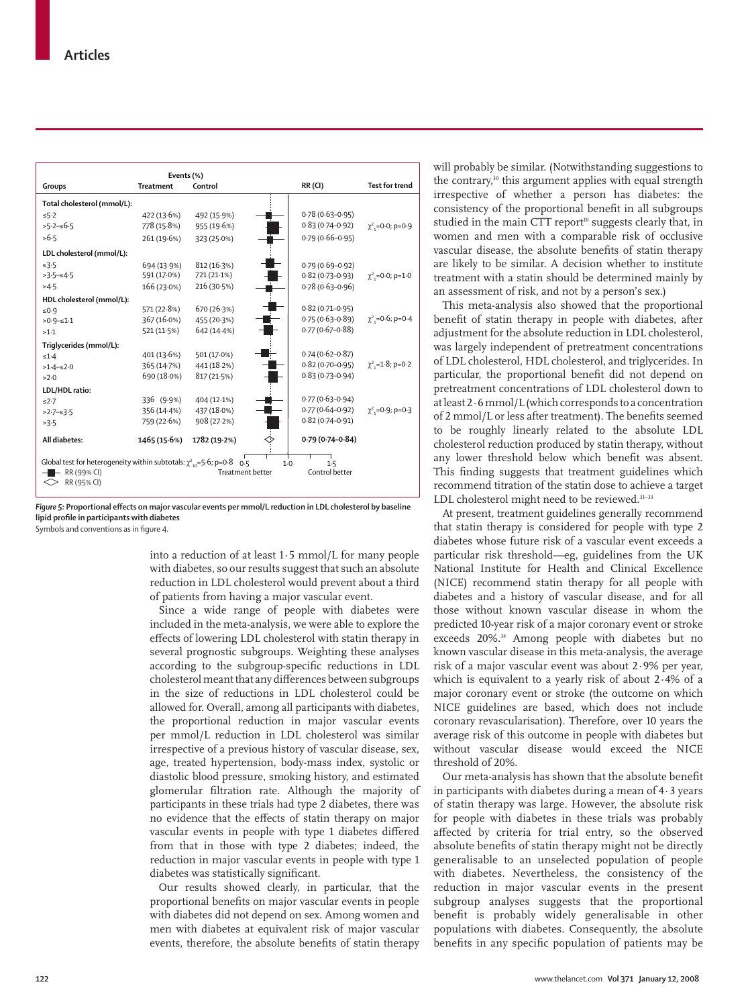| Events (%)                                                                                                  |                  |              |                                  |                       |                                   |
|-------------------------------------------------------------------------------------------------------------|------------------|--------------|----------------------------------|-----------------------|-----------------------------------|
| Groups                                                                                                      | <b>Treatment</b> | Control      |                                  | RR (CI)               | <b>Test for trend</b>             |
| Total cholesterol (mmol/L):                                                                                 |                  |              |                                  |                       |                                   |
| ≤5.2                                                                                                        | 422 (13.6%)      | 492 (15.9%)  |                                  | $0.78(0.63 - 0.95)$   |                                   |
| $>5.2-5.5$                                                                                                  | 778 (15.8%)      | 955 (19.6%)  |                                  | $0.83(0.74 - 0.92)$   | $\chi^2$ ,=0.0; p=0.9             |
| >6.5                                                                                                        | 261 (19.6%)      | 323 (25.0%)  |                                  | $0.79(0.66 - 0.95)$   |                                   |
| LDL cholesterol (mmol/L):                                                                                   |                  |              |                                  |                       |                                   |
| ≤ $3.5$                                                                                                     | 694 (13.9%)      | 812 (16.3%)  |                                  | $0.79(0.69 - 0.92)$   |                                   |
| $>3.5-4.5$                                                                                                  | 591 (17.0%)      | 721 (21.1%)  |                                  | $0.82(0.73 - 0.93)$   | $\chi^2$ = 0.0; p=1.0             |
| >4.5                                                                                                        | 166(23.0%)       | 216 (30.5%)  |                                  | $0.78(0.63 - 0.96)$   |                                   |
| HDL cholesterol (mmol/L):                                                                                   |                  |              |                                  |                       |                                   |
| $\leq 0.9$                                                                                                  | 571 (22.8%)      | 670 (26.3%)  |                                  | $0.82(0.71 - 0.95)$   |                                   |
| $>0.9 - 1.1$                                                                                                | 367 (16.0%)      | 455 (20.3%)  |                                  | $0.75(0.63 - 0.89)$   | $\chi^2$ = 0.6; p=0.4             |
| >1.1                                                                                                        | 521(11.5%)       | 642 (14.4%)  |                                  | $0.77(0.67 - 0.88)$   |                                   |
| Triglycerides (mmol/L):                                                                                     |                  |              |                                  |                       |                                   |
| $\leq 1.4$                                                                                                  | 401 (13.6%)      | 501 (17.0%)  |                                  | $0.74(0.62 - 0.87)$   |                                   |
| $>1.4-s2.0$                                                                                                 | 365 (14.7%)      | 441 (18.2%)  |                                  | $0.82(0.70 - 0.95)$   | $\chi^2$ <sub>1</sub> =1.8; p=0.2 |
| >2.0                                                                                                        | 690 (18.0%)      | 817 (21.5%)  |                                  | $0.83(0.73 - 0.94)$   |                                   |
| LDL/HDL ratio:                                                                                              |                  |              |                                  |                       |                                   |
| ≤ $2·7$                                                                                                     | 336 (9.9%)       | 404 (12.1%)  |                                  | $0.77(0.63 - 0.94)$   |                                   |
| $>2.7-\leq3.5$                                                                                              | 356 (14.4%)      | 437 (18.0%)  |                                  | $0.77(0.64 - 0.92)$   | $\chi^2$ ,=0.9; p=0.3             |
| >3.5                                                                                                        | 759 (22.6%)      | 908 (27.2%)  |                                  | $0.82(0.74 - 0.91)$   |                                   |
| All diabetes:                                                                                               | 1465 (15.6%)     | 1782 (19-2%) |                                  | $0.79(0.74 - 0.84)$   |                                   |
|                                                                                                             |                  |              |                                  |                       |                                   |
| Global test for heterogeneity within subtotals: $\chi^2_{10}$ =5.6; p=0.8 0.5<br>RR (99% CI)<br>RR (95% CI) |                  |              | $1-0$<br><b>Treatment better</b> | 1.5<br>Control better |                                   |

| Figure 5: Proportional effects on major vascular events per mmol/L reduction in LDL cholesterol by baseline |  |  |
|-------------------------------------------------------------------------------------------------------------|--|--|
| lipid profile in participants with diabetes                                                                 |  |  |
|                                                                                                             |  |  |

Symbols and conventions as in figure 4

into a reduction of at least 1·5 mmol/L for many people with diabetes, so our results suggest that such an absolute reduction in LDL cholesterol would prevent about a third of patients from having a major vascular event.

Since a wide range of people with diabetes were included in the meta-analysis, we were able to explore the effects of lowering LDL cholesterol with statin therapy in several prognostic subgroups. Weighting these analyses according to the subgroup-specific reductions in LDL cholesterol meant that any differences between subgroups in the size of reductions in LDL cholesterol could be allowed for. Overall, among all participants with diabetes, the proportional reduction in major vascular events per mmol/L reduction in LDL cholesterol was similar irrespective of a previous history of vascular disease, sex, age, treated hypertension, body-mass index, systolic or diastolic blood pressure, smoking history, and estimated glomerular filtration rate. Although the majority of participants in these trials had type 2 diabetes, there was no evidence that the effects of statin therapy on major vascular events in people with type 1 diabetes differed from that in those with type 2 diabetes; indeed, the reduction in major vascular events in people with type 1 diabetes was statistically significant.

Our results showed clearly, in particular, that the proportional benefits on major vascular events in people with diabetes did not depend on sex. Among women and men with diabetes at equivalent risk of major vascular events, therefore, the absolute benefits of statin therapy will probably be similar. (Notwithstanding suggestions to the contrary,<sup>30</sup> this argument applies with equal strength irrespective of whether a person has diabetes: the consistency of the proportional benefit in all subgroups studied in the main CTT report<sup>10</sup> suggests clearly that, in women and men with a comparable risk of occlusive vascular disease, the absolute benefits of statin therapy are likely to be similar. A decision whether to institute treatment with a statin should be determined mainly by an assessment of risk, and not by a person's sex.)

This meta-analysis also showed that the proportional benefit of statin therapy in people with diabetes, after adjustment for the absolute reduction in LDL cholesterol, was largely independent of pretreatment concentrations of LDL cholesterol, HDL cholesterol, and triglycerides. In particular, the proportional benefit did not depend on pretreatment concentrations of LDL cholesterol down to at least 2·6 mmol/L (which corresponds to a concentration of 2 mmol/L or less after treatment). The benefits seemed to be roughly linearly related to the absolute LDL cholesterol reduction produced by statin therapy, without any lower threshold below which benefit was absent. This finding suggests that treatment guidelines which recommend titration of the statin dose to achieve a target LDL cholesterol might need to be reviewed.<sup>31-33</sup>

At present, treatment guidelines generally recommend that statin therapy is considered for people with type 2 diabetes whose future risk of a vascular event exceeds a particular risk threshold—eg, guidelines from the UK National Institute for Health and Clinical Excellence (NICE) recommend statin therapy for all people with diabetes and a history of vascular disease, and for all those without known vascular disease in whom the predicted 10-year risk of a major coronary event or stroke exceeds 20%.<sup>34</sup> Among people with diabetes but no known vascular disease in this meta-analysis, the average risk of a major vascular event was about 2·9% per year, which is equivalent to a yearly risk of about 2·4% of a major coronary event or stroke (the outcome on which NICE guidelines are based, which does not include coronary revascularisation). Therefore, over 10 years the average risk of this outcome in people with diabetes but without vascular disease would exceed the NICE threshold of 20%.

Our meta-analysis has shown that the absolute benefit in participants with diabetes during a mean of 4·3 years of statin therapy was large. However, the absolute risk for people with diabetes in these trials was probably affected by criteria for trial entry, so the observed absolute benefits of statin therapy might not be directly generalisable to an unselected population of people with diabetes. Nevertheless, the consistency of the reduction in major vascular events in the present subgroup analyses suggests that the proportional benefit is probably widely generalisable in other populations with diabetes. Consequently, the absolute benefits in any specific population of patients may be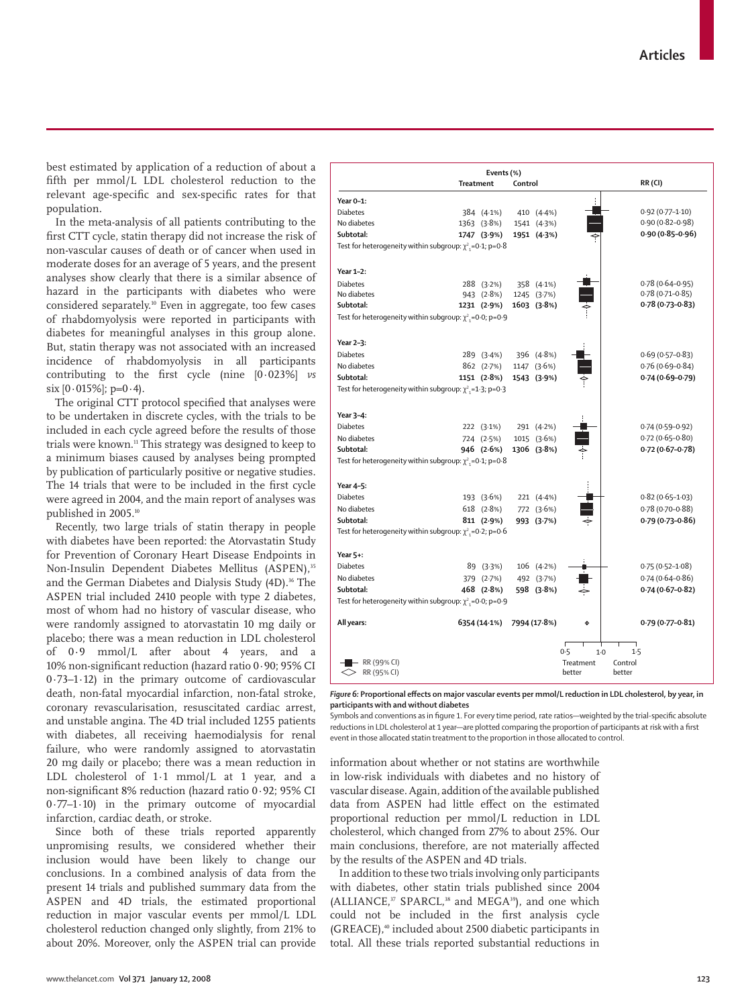best estimated by application of a reduction of about a fifth per mmol/L LDL cholesterol reduction to the relevant age-specific and sex-specific rates for that population.

In the meta-analysis of all patients contributing to the first CTT cycle, statin therapy did not increase the risk of non-vascular causes of death or of cancer when used in moderate doses for an average of 5 years, and the present analyses show clearly that there is a similar absence of hazard in the participants with diabetes who were considered separately.10 Even in aggregate, too few cases of rhabdomyolysis were reported in participants with diabetes for meaningful analyses in this group alone. But, statin therapy was not associated with an increased incidence of rhabdomyolysis in all participants contributing to the first cycle (nine  $[0.023\%]$  vs six  $[0.015\%]$ ; p=0.4).

The original CTT protocol specified that analyses were to be undertaken in discrete cycles, with the trials to be included in each cycle agreed before the results of those trials were known.<sup>11</sup> This strategy was designed to keep to a minimum biases caused by analyses being prompted by publication of particularly positive or negative studies. The 14 trials that were to be included in the first cycle were agreed in 2004, and the main report of analyses was published in 2005.10

Recently, two large trials of statin therapy in people with diabetes have been reported: the Atorvastatin Study for Prevention of Coronary Heart Disease Endpoints in Non-Insulin Dependent Diabetes Mellitus (ASPEN),<sup>35</sup> and the German Diabetes and Dialysis Study (4D).<sup>36</sup> The ASPEN trial included 2410 people with type 2 diabetes, most of whom had no history of vascular disease, who were randomly assigned to atorvastatin 10 mg daily or placebo; there was a mean reduction in LDL cholesterol of 0·9 mmol/L after about 4 years, and a 10% non-significant reduction (hazard ratio 0 · 90; 95% CI 0·73–1·12) in the primary outcome of cardiovascular death, non-fatal myocardial infarction, non-fatal stroke, coronary revascularisation, resuscitated cardiac arrest, and unstable angina. The 4D trial included 1255 patients with diabetes, all receiving haemodialysis for renal failure, who were randomly assigned to atorvastatin 20 mg daily or placebo; there was a mean reduction in LDL cholesterol of 1·1 mmol/L at 1 year, and a non-significant 8% reduction (hazard ratio 0.92; 95% CI 0·77–1·10) in the primary outcome of myocardial infarction, cardiac death, or stroke.

Since both of these trials reported apparently unpromising results, we considered whether their inclusion would have been likely to change our conclusions. In a combined analysis of data from the present 14 trials and published summary data from the ASPEN and 4D trials, the estimated proportional reduction in major vascular events per mmol/L LDL cholesterol reduction changed only slightly, from 21% to about 20%. Moreover, only the ASPEN trial can provide

|                                                                           | Events (%)       |              |         |              |              |                     |
|---------------------------------------------------------------------------|------------------|--------------|---------|--------------|--------------|---------------------|
|                                                                           | <b>Treatment</b> |              | Control |              |              | RR(CI)              |
| Year 0-1:                                                                 |                  |              |         |              |              |                     |
| <b>Diabetes</b>                                                           |                  | 384 (4.1%)   |         | 410 (4.4%)   |              | $0.92(0.77 - 1.10)$ |
| No diabetes                                                               |                  | 1363 (3.8%)  |         | 1541 (4.3%)  |              | $0.90(0.82 - 0.98)$ |
| Subtotal:                                                                 |                  | 1747 (3.9%)  |         | 1951 (4.3%)  |              | $0.90(0.85 - 0.96)$ |
| Test for heterogeneity within subgroup: $\chi^2$ = 0.1; p=0.8             |                  |              |         |              |              |                     |
| Year 1-2:                                                                 |                  |              |         |              |              |                     |
| <b>Diabetes</b>                                                           |                  | 288 (3.2%)   |         | 358 (4.1%)   |              | $0.78(0.64 - 0.95)$ |
| No diabetes                                                               |                  | 943 (2.8%)   |         | 1245 (3.7%)  |              | $0.78(0.71 - 0.85)$ |
| Subtotal:                                                                 |                  | 1231 (2.9%)  |         | 1603 (3.8%)  |              | $0.78(0.73 - 0.83)$ |
| Test for heterogeneity within subgroup: $\chi^2$ <sub>,</sub> =0.0; p=0.9 |                  |              |         |              |              |                     |
| Year 2-3:                                                                 |                  |              |         |              |              |                     |
| <b>Diabetes</b>                                                           |                  | 289 (3.4%)   |         | 396 (4.8%)   |              | $0.69(0.57 - 0.83)$ |
| No diabetes                                                               |                  | 862 (2.7%)   |         | 1147 (3.6%)  |              | $0.76(0.69 - 0.84)$ |
| Subtotal:                                                                 |                  | 1151 (2.8%)  |         | 1543 (3.9%)  |              | $0.74(0.69 - 0.79)$ |
| Test for heterogeneity within subgroup: $\chi^2$ <sub>1</sub> =1·3; p=0·3 |                  |              |         |              |              |                     |
| Year 3-4:                                                                 |                  |              |         |              |              |                     |
| <b>Diabetes</b>                                                           |                  | 222 (3.1%)   |         | 291 (4.2%)   |              | $0.74(0.59 - 0.92)$ |
| No diabetes                                                               |                  | 724 (2.5%)   |         | 1015 (3.6%)  |              | $0.72(0.65 - 0.80)$ |
| Subtotal:                                                                 |                  | 946 (2.6%)   |         | 1306 (3.8%)  |              | $0.72(0.67 - 0.78)$ |
| Test for heterogeneity within subgroup: $\chi^2_{1}$ =0.1; p=0.8          |                  |              |         |              |              |                     |
| Year 4-5:                                                                 |                  |              |         |              |              |                     |
| <b>Diabetes</b>                                                           |                  | 193 (3.6%)   |         | 221 (4.4%)   |              | $0.82(0.65 - 1.03)$ |
| No diabetes                                                               |                  | 618 (2.8%)   |         | 772 (3.6%)   |              | $0.78(0.70 - 0.88)$ |
| Subtotal:                                                                 |                  | 811 (2.9%)   |         | 993 (3.7%)   |              | $0.79(0.73 - 0.86)$ |
| Test for heterogeneity within subgroup: $\chi^2$ = 0.2; p=0.6             |                  |              |         |              |              |                     |
| Year 5+:                                                                  |                  |              |         |              |              |                     |
| <b>Diabetes</b>                                                           |                  | 89 (3.3%)    |         | 106 (4.2%)   |              | $0.75(0.52 - 1.08)$ |
| No diabetes                                                               |                  | 379 (2.7%)   |         | 492 (3.7%)   |              | $0.74(0.64 - 0.86)$ |
| Subtotal:                                                                 |                  | 468 (2.8%)   |         | 598 (3.8%)   |              | $0.74(0.67-0.82)$   |
| Test for heterogeneity within subgroup: $\chi^2$ =0.0; p=0.9              |                  |              |         |              |              |                     |
| All years:                                                                |                  | 6354 (14.1%) |         | 7994 (17.8%) | Ф            | $0.79(0.77-0.81)$   |
|                                                                           |                  |              |         |              | 0.5<br>$1-0$ | 1.5                 |
| RR (99% CI)                                                               |                  |              |         |              | Treatment    | Control             |
| RR (95% CI)                                                               |                  |              |         |              | better       | better              |

*Figure 6:* Proportional effects on major vascular events per mmol/L reduction in LDL cholesterol, by year, in **participants with and without diabetes**

Symbols and conventions as in figure 1. For every time period, rate ratios—weighted by the trial-specific absolute reductions in LDL cholesterol at 1 year-are plotted comparing the proportion of participants at risk with a first event in those allocated statin treatment to the proportion in those allocated to control.

information about whether or not statins are worthwhile in low-risk individuals with diabetes and no history of vascular disease. Again, addition of the available published data from ASPEN had little effect on the estimated proportional reduction per mmol/L reduction in LDL cholesterol, which changed from 27% to about 25%. Our main conclusions, therefore, are not materially affected by the results of the ASPEN and 4D trials.

In addition to these two trials involving only participants with diabetes, other statin trials published since 2004 (ALLIANCE, $37$  SPARCL, $38$  and MEGA<sup>39</sup>), and one which could not be included in the first analysis cycle (GREACE),40 included about 2500 diabetic participants in total. All these trials reported substantial reductions in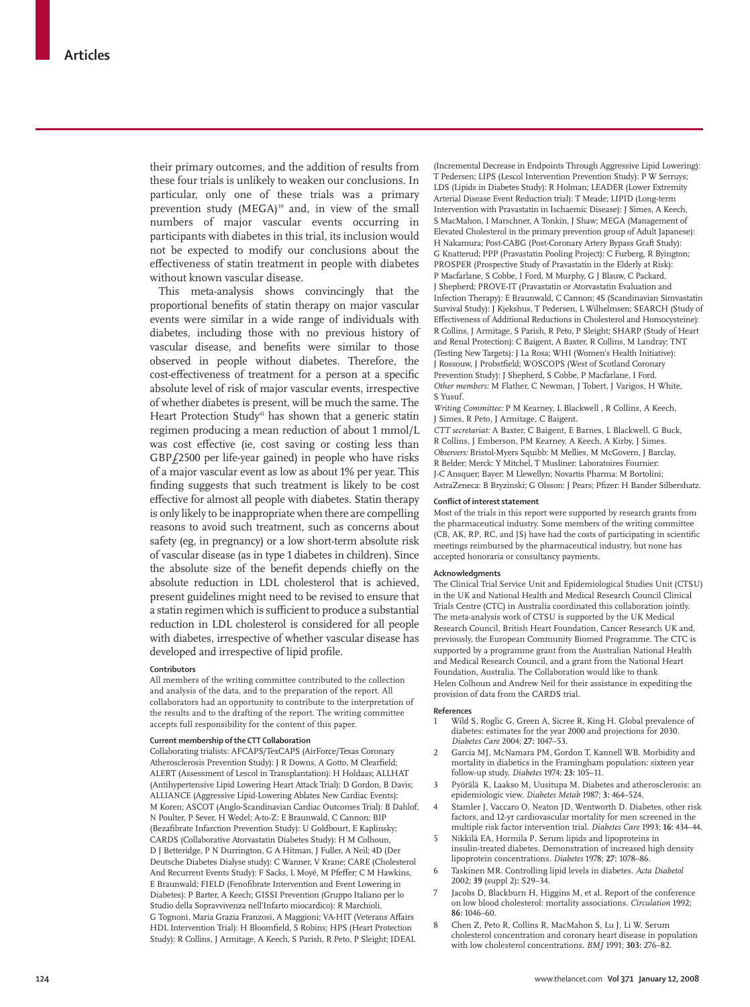their primary outcomes, and the addition of results from these four trials is unlikely to weaken our conclusions. In particular, only one of these trials was a primary prevention study (MEGA)<sup>39</sup> and, in view of the small numbers of major vascular events occurring in participants with diabetes in this trial, its inclusion would not be expected to modify our conclusions about the effectiveness of statin treatment in people with diabetes without known vascular disease.

This meta-analysis shows convincingly that the proportional benefits of statin therapy on major vascular events were similar in a wide range of individuals with diabetes, including those with no previous history of vascular disease, and benefits were similar to those observed in people without diabetes. Therefore, the cost-effectiveness of treatment for a person at a specific absolute level of risk of major vascular events, irrespective of whether diabetes is present, will be much the same. The Heart Protection Study<sup>41</sup> has shown that a generic statin regimen producing a mean reduction of about 1 mmol/L was cost effective (ie, cost saving or costing less than GBP<sub>£</sub>2500 per life-year gained) in people who have risks of a major vascular event as low as about 1% per year. This finding suggests that such treatment is likely to be cost effective for almost all people with diabetes. Statin therapy is only likely to be inappropriate when there are compelling reasons to avoid such treatment, such as concerns about safety (eg, in pregnancy) or a low short-term absolute risk of vascular disease (as in type 1 diabetes in children). Since the absolute size of the benefit depends chiefly on the absolute reduction in LDL cholesterol that is achieved, present guidelines might need to be revised to ensure that a statin regimen which is sufficient to produce a substantial reduction in LDL cholesterol is considered for all people with diabetes, irrespective of whether vascular disease has developed and irrespective of lipid profile.

#### **Contributors**

All members of the writing committee contributed to the collection and analysis of the data, and to the preparation of the report. All collaborators had an opportunity to contribute to the interpretation of the results and to the drafting of the report. The writing committee accepts full responsibility for the content of this paper.

### **Current membership of the CTT Collaboration**

Collaborating trialists: AFCAPS/TexCAPS (AirForce/Texas Coronary Atherosclerosis Prevention Study): J R Downs, A Gotto, M Clearfield; ALERT (Assessment of Lescol in Transplantation): H Holdaas; ALLHAT (Antihypertensive Lipid Lowering Heart Attack Trial): D Gordon, B Davis; ALLIANCE (Aggressive Lipid-Lowering Ablates New Cardiac Events): M Koren; ASCOT (Anglo-Scandinavian Cardiac Outcomes Trial): B Dahlof, N Poulter, P Sever, H Wedel; A-to-Z: E Braunwald, C Cannon; BIP (Bezafibrate Infarction Prevention Study): U Goldbourt, E Kaplinsky; CARDS (Collaborative Atorvastatin Diabetes Study): H M Colhoun, D J Betteridge, P N Durrington, G A Hitman, J Fuller, A Neil; 4D (Der Deutsche Diabetes Dialyse study): C Wanner, V Krane; CARE (Cholesterol And Recurrent Events Study): F Sacks, L Moyé, M Pfeffer; C M Hawkins, E Braunwald; FIELD (Fenofibrate Intervention and Event Lowering in Diabetes): P Barter, A Keech; GISSI Prevention (Gruppo Italiano per lo Studio della Sopravvivenza nell'Infarto miocardico): R Marchioli, G Tognoni, Maria Grazia Franzosi, A Maggioni; VA-HIT (Veterans Affairs HDL Intervention Trial): H Bloomfield, S Robins; HPS (Heart Protection Study): R Collins, J Armitage, A Keech, S Parish, R Peto, P Sleight; IDEAL

(Incremental Decrease in Endpoints Through Aggressive Lipid Lowering): T Pedersen; LIPS (Lescol Intervention Prevention Study): P W Serruys; LDS (Lipids in Diabetes Study): R Holman; LEADER (Lower Extremity Arterial Disease Event Reduction trial): T Meade; LIPID (Long-term Intervention with Pravastatin in Ischaemic Disease): J Simes, A Keech, S MacMahon, I Marschner, A Tonkin, J Shaw; MEGA (Management of Elevated Cholesterol in the primary prevention group of Adult Japanese): H Nakamura; Post-CABG (Post-Coronary Artery Bypass Graft Study): G Knatterud; PPP (Pravastatin Pooling Project): C Furberg, R Byington; PROSPER (Prospective Study of Pravastatin in the Elderly at Risk): P Macfarlane, S Cobbe, I Ford, M Murphy, G J Blauw, C Packard, J Shepherd; PROVE-IT (Pravastatin or Atorvastatin Evaluation and Infection Therapy): E Braunwald, C Cannon; 4S (Scandinavian Simvastatin Survival Study): J Kjekshus, T Pedersen, L Wilhelmsen; SEARCH (Study of Effectiveness of Additional Reductions in Cholesterol and Homocysteine): R Collins, J Armitage, S Parish, R Peto, P Sleight; SHARP (Study of Heart and Renal Protection): C Baigent, A Baxter, R Collins, M Landray; TNT (Testing New Targets): J La Rosa; WHI (Women's Health Initiative): J Rossouw, J Probstfield; WOSCOPS (West of Scotland Coronary Prevention Study): J Shepherd, S Cobbe, P Macfarlane, I Ford. *Other members:* M Flather, C Newman, J Tobert, J Varigos, H White, S Yusuf.

*Writing Committee:* P M Kearney, L Blackwell , R Collins, A Keech, J Simes, R Peto, J Armitage, C Baigent.

*CTT secretariat:* A Baxter, C Baigent, E Barnes, L Blackwell, G Buck, R Collins, J Emberson, PM Kearney, A Keech, A Kirby, J Simes. *Observers:* Bristol-Myers Squibb: M Mellies, M McGovern, J Barclay, R Belder; Merck: Y Mitchel, T Musliner: Laboratoires Fournier: J-C Ansquer; Bayer: M Llewellyn; Novartis Pharma: M Bortolini; AstraZeneca: B Bryzinski; G Olsson: J Pears; Pfizer: H Bander Silbershatz.

#### **Conflict of interest statement**

Most of the trials in this report were supported by research grants from the pharmaceutical industry. Some members of the writing committee  $(CB, AK, RP, RC, and JS)$  have had the costs of participating in scientific meetings reimbursed by the pharmaceutical industry, but none has accepted honoraria or consultancy payments.

#### **Acknowledgments**

The Clinical Trial Service Unit and Epidemiological Studies Unit (CTSU) in the UK and National Health and Medical Research Council Clinical Trials Centre (CTC) in Australia coordinated this collaboration jointly. The meta-analysis work of CTSU is supported by the UK Medical Research Council, British Heart Foundation, Cancer Research UK and, previously, the European Community Biomed Programme. The CTC is supported by a programme grant from the Australian National Health and Medical Research Council, and a grant from the National Heart Foundation, Australia. The Collaboration would like to thank Helen Colhoun and Andrew Neil for their assistance in expediting the provision of data from the CARDS trial.

#### **References**

- Wild S, Roglic G, Green A, Sicree R, King H. Global prevalence of diabetes: estimates for the year 2000 and projections for 2030. *Diabetes Care* 2004; **27:** 1047–53.
- 2 Garcia MJ, McNamara PM, Gordon T, Kannell WB. Morbidity and mortality in diabetics in the Framingham population: sixteen year follow-up study. *Diabetes* 1974; **23:** 105–11.
- 3 Pyörälä K, Laakso M, Uusitupa M. Diabetes and atherosclerosis: an epidemiologic view. *Diabetes Metab* 1987; **3:** 464–524.
- 4 Stamler J, Vaccaro O, Neaton JD, Wentworth D. Diabetes, other risk factors, and 12-yr cardiovascular mortality for men screened in the multiple risk factor intervention trial. *Diabetes Care* 1993; **16:** 434–44.
- 5 Nikkilä EA, Hormila P. Serum lipids and lipoproteins in insulin-treated diabetes. Demonstration of increased high density lipoprotein concentrations. *Diabetes* 1978; **27:** 1078–86.
- 6 Taskinen MR. Controlling lipid levels in diabetes. *Acta Diabetol*  2002; **39** (suppl 2)**:** S29–34.
- Jacobs D, Blackburn H, Higgins M, et al. Report of the conference on low blood cholesterol: mortality associations. *Circulation* 1992; **86:** 1046–60.
- 8 Chen Z, Peto R, Collins R, MacMahon S, Lu J, Li W. Serum cholesterol concentration and coronary heart disease in population with low cholesterol concentrations. *BMJ* 1991; **303:** 276–82.